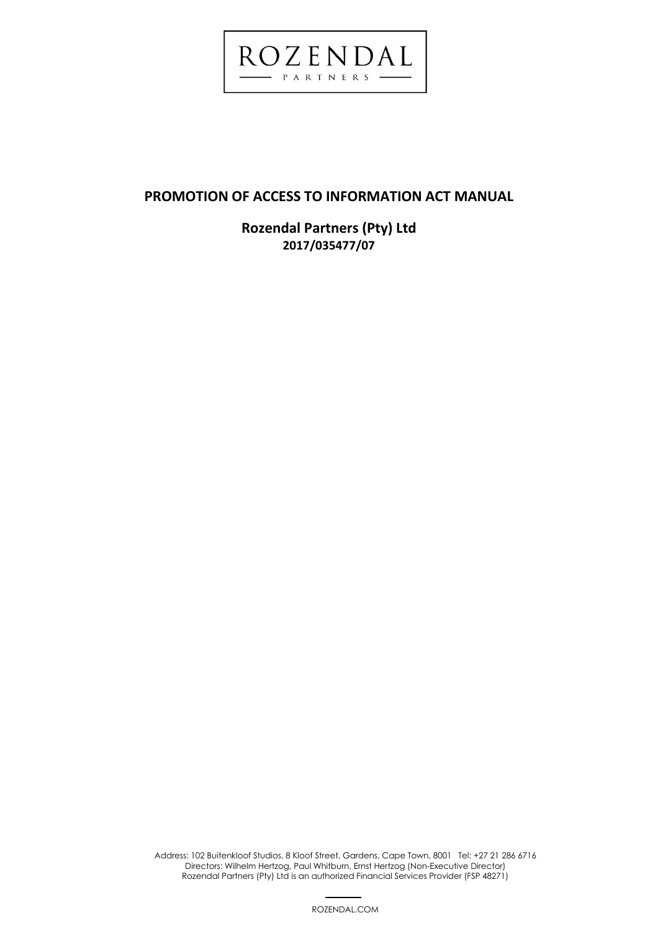

# **PROMOTION OF ACCESS TO INFORMATION ACT MANUAL**

**Rozendal Partners (Pty) Ltd 2017/035477/07** 

 1 Address: 102 Buitenkloof Studios, 8 Kloof Street, Gardens, Cape Town, 8001 Tel: +27 21 286 6716 Directors: Wilhelm Hertzog, Paul Whitburn, Ernst Hertzog (Non-Executive Director) Rozendal Partners (Pty) Ltd is an authorized Financial Services Provider (FSP 48271)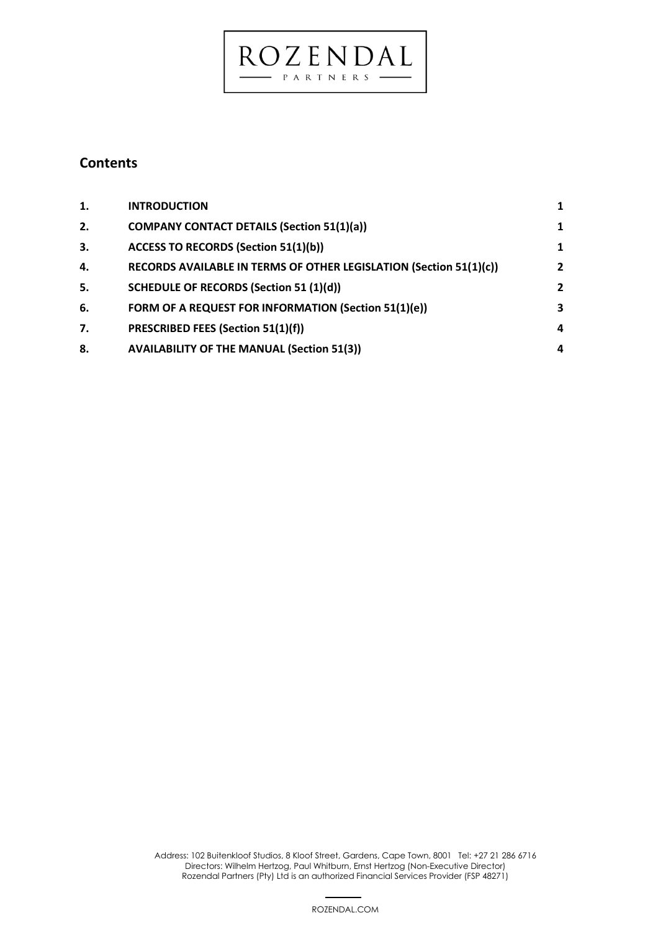## **Contents**

| 1. | <b>INTRODUCTION</b>                                                | 1              |
|----|--------------------------------------------------------------------|----------------|
| 2. | <b>COMPANY CONTACT DETAILS (Section 51(1)(a))</b>                  | 1              |
| 3. | <b>ACCESS TO RECORDS (Section 51(1)(b))</b>                        | $\mathbf{1}$   |
| 4. | RECORDS AVAILABLE IN TERMS OF OTHER LEGISLATION (Section 51(1)(c)) | $\overline{2}$ |
| 5. | <b>SCHEDULE OF RECORDS (Section 51 (1)(d))</b>                     | $\overline{2}$ |
| 6. | FORM OF A REQUEST FOR INFORMATION (Section 51(1)(e))               | 3              |
| 7. | PRESCRIBED FEES (Section 51(1)(f))                                 | 4              |
| 8. | <b>AVAILABILITY OF THE MANUAL (Section 51(3))</b>                  | 4              |

 $\underbrace{ROZ}_{\tiny{\textbf{PARFNERS}}} \underbrace{F N D AL}_{\tiny{\textbf{A} S}}$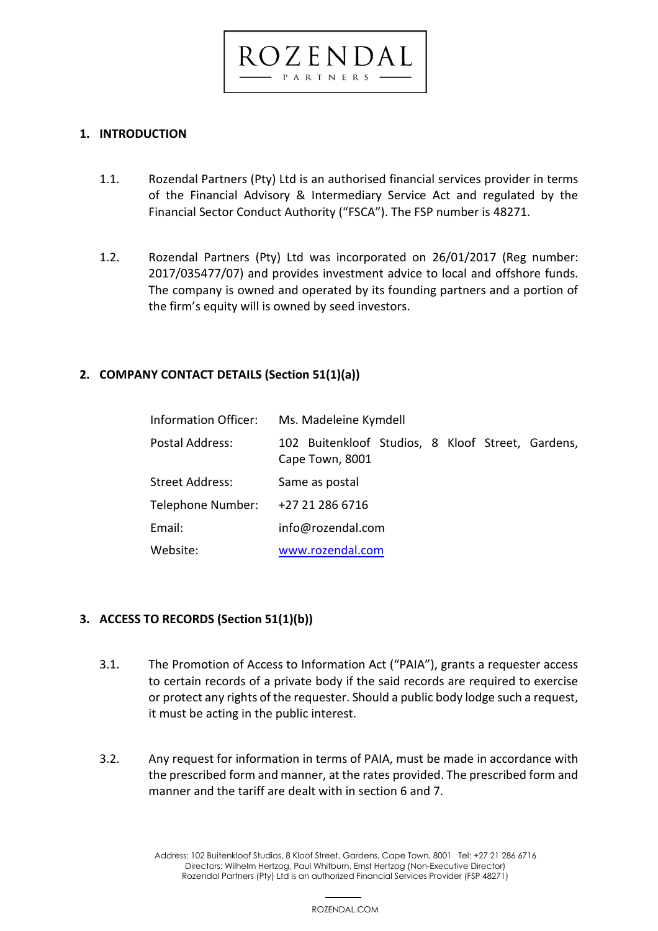<span id="page-2-0"></span>**1. INTRODUCTION**

1.1. Rozendal Partners (Pty) Ltd is an authorised financial services provider in terms of the Financial Advisory & Intermediary Service Act and regulated by the Financial Sector Conduct Authority ("FSCA"). The FSP number is 48271.

ROZENDAL PARTNERS

1.2. Rozendal Partners (Pty) Ltd was incorporated on 26/01/2017 (Reg number: 2017/035477/07) and provides investment advice to local and offshore funds. The company is owned and operated by its founding partners and a portion of the firm's equity will is owned by seed investors.

## <span id="page-2-1"></span>**2. COMPANY CONTACT DETAILS (Section 51(1)(a))**

| Information Officer: | Ms. Madeleine Kymdell                                                |
|----------------------|----------------------------------------------------------------------|
| Postal Address:      | 102 Buitenkloof Studios, 8 Kloof Street, Gardens,<br>Cape Town, 8001 |
| Street Address:      | Same as postal                                                       |
| Telephone Number:    | +27 21 286 6716                                                      |
| Email:               | info@rozendal.com                                                    |
| Website:             | www.rozendal.com                                                     |

# <span id="page-2-2"></span>**3. ACCESS TO RECORDS (Section 51(1)(b))**

- 3.1. The Promotion of Access to Information Act ("PAIA"), grants a requester access to certain records of a private body if the said records are required to exercise or protect any rights of the requester. Should a public body lodge such a request, it must be acting in the public interest.
- 3.2. Any request for information in terms of PAIA, must be made in accordance with the prescribed form and manner, at the rates provided. The prescribed form and manner and the tariff are dealt with in section 6 and 7.

 3 Address: 102 Buitenkloof Studios, 8 Kloof Street, Gardens, Cape Town, 8001 Tel: +27 21 286 6716 Directors: Wilhelm Hertzog, Paul Whitburn, Ernst Hertzog (Non-Executive Director) Rozendal Partners (Pty) Ltd is an authorized Financial Services Provider (FSP 48271)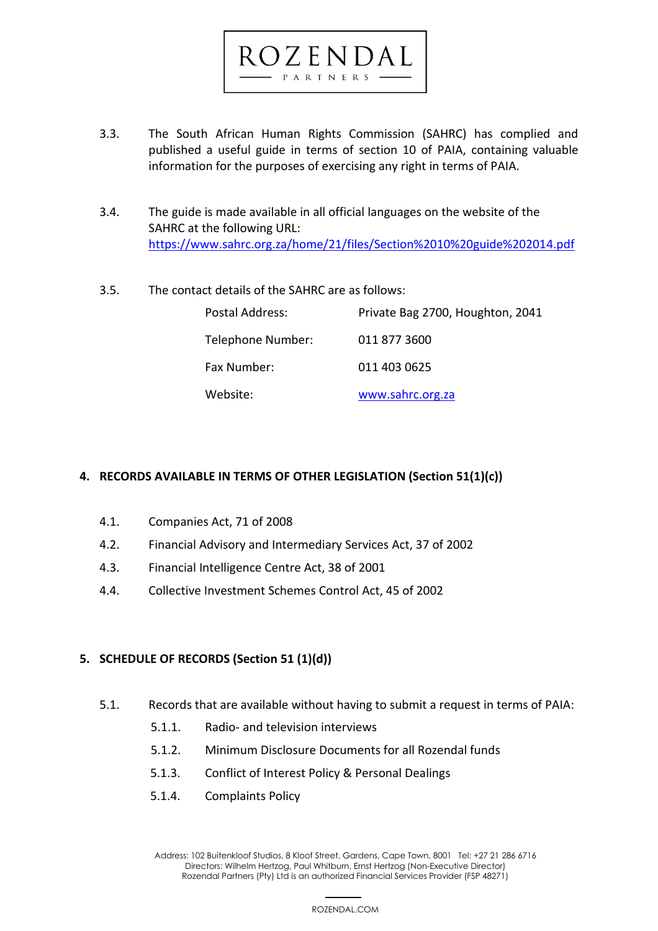# 3.3. The South African Human Rights Commission (SAHRC) has complied and published a useful guide in terms of section 10 of PAIA, containing valuable information for the purposes of exercising any right in terms of PAIA.

 $C$ zenda PARTNERS

- 3.4. The guide is made available in all official languages on the website of the SAHRC at the following URL: <https://www.sahrc.org.za/home/21/files/Section%2010%20guide%202014.pdf>
- 3.5. The contact details of the SAHRC are as follows:

| Postal Address:   | Private Bag 2700, Houghton, 2041 |
|-------------------|----------------------------------|
| Telephone Number: | 011 877 3600                     |
| Fax Number:       | 011 403 0625                     |
| Website:          | www.sahrc.org.za                 |

## <span id="page-3-0"></span>**4. RECORDS AVAILABLE IN TERMS OF OTHER LEGISLATION (Section 51(1)(c))**

- 4.1. Companies Act, 71 of 2008
- 4.2. Financial Advisory and Intermediary Services Act, 37 of 2002
- 4.3. Financial Intelligence Centre Act, 38 of 2001
- 4.4. Collective Investment Schemes Control Act, 45 of 2002

#### <span id="page-3-1"></span>**5. SCHEDULE OF RECORDS (Section 51 (1)(d))**

- 5.1. Records that are available without having to submit a request in terms of PAIA:
	- 5.1.1. Radio- and television interviews
	- 5.1.2. Minimum Disclosure Documents for all Rozendal funds
	- 5.1.3. Conflict of Interest Policy & Personal Dealings
	- 5.1.4. Complaints Policy

 4 Address: 102 Buitenkloof Studios, 8 Kloof Street, Gardens, Cape Town, 8001 Tel: +27 21 286 6716 Directors: Wilhelm Hertzog, Paul Whitburn, Ernst Hertzog (Non-Executive Director) Rozendal Partners (Pty) Ltd is an authorized Financial Services Provider (FSP 48271)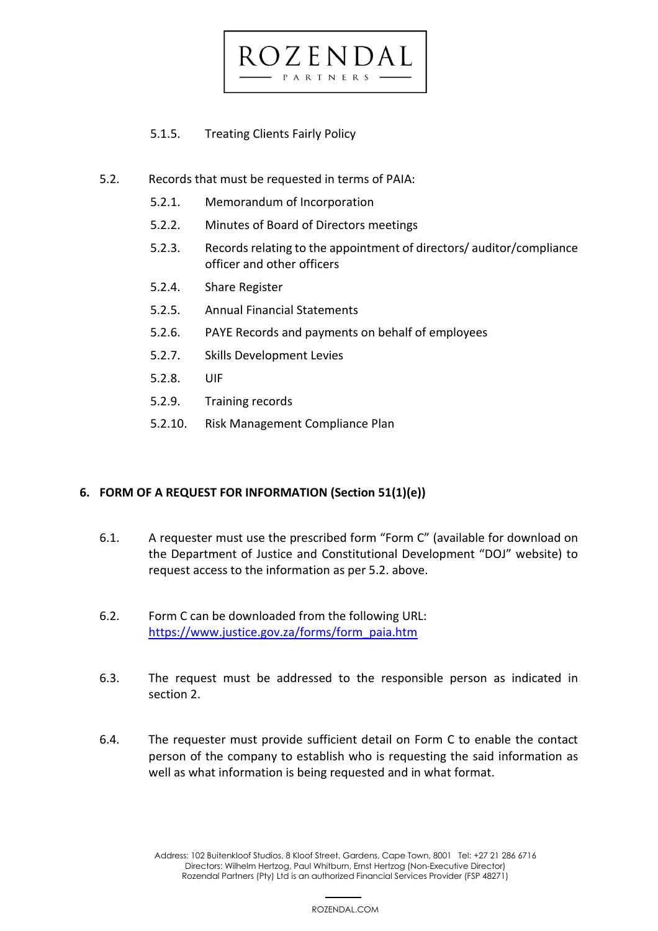5.1.5. Treating Clients Fairly Policy

- 5.2. Records that must be requested in terms of PAIA:
	- 5.2.1. Memorandum of Incorporation
	- 5.2.2. Minutes of Board of Directors meetings
	- 5.2.3. Records relating to the appointment of directors/ auditor/compliance officer and other officers
	- 5.2.4. Share Register
	- 5.2.5. Annual Financial Statements
	- 5.2.6. PAYE Records and payments on behalf of employees

27 E N F

PARTNERS

- 5.2.7. Skills Development Levies
- 5.2.8. UIF
- 5.2.9. Training records
- 5.2.10. Risk Management Compliance Plan

#### <span id="page-4-0"></span>**6. FORM OF A REQUEST FOR INFORMATION (Section 51(1)(e))**

- 6.1. A requester must use the prescribed form "Form C" (available for download on the Department of Justice and Constitutional Development "DOJ" website) to request access to the information as per 5.2. above.
- 6.2. Form C can be downloaded from the following URL: [https://www.justice.gov.za/forms/form\\_paia.htm](https://www.justice.gov.za/forms/form_paia.htm)
- 6.3. The request must be addressed to the responsible person as indicated in section 2.
- 6.4. The requester must provide sufficient detail on Form C to enable the contact person of the company to establish who is requesting the said information as well as what information is being requested and in what format.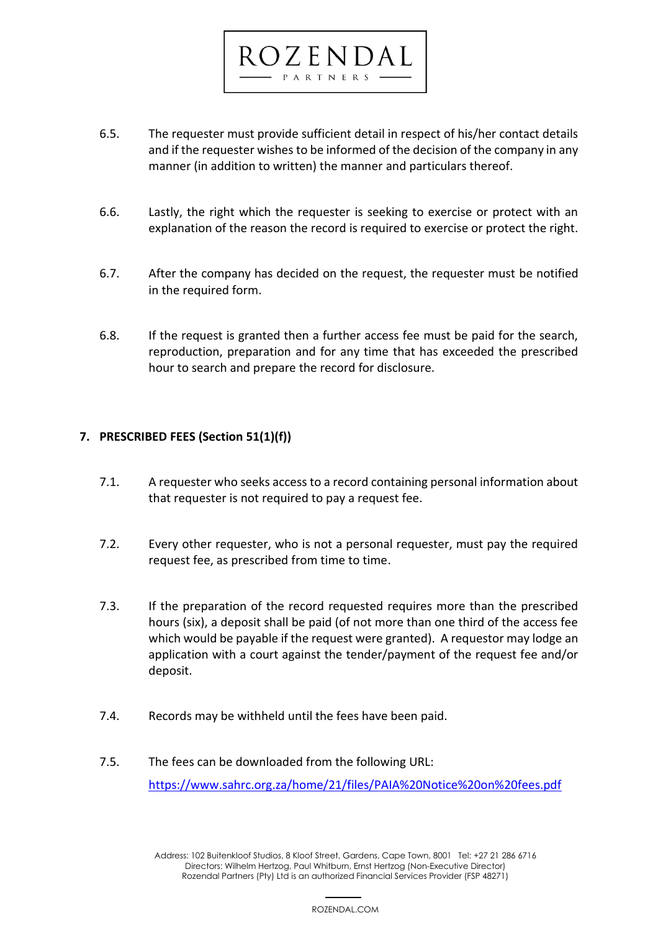

 $DZENDA$ P A R T N E R S

- 6.6. Lastly, the right which the requester is seeking to exercise or protect with an explanation of the reason the record is required to exercise or protect the right.
- 6.7. After the company has decided on the request, the requester must be notified in the required form.
- 6.8. If the request is granted then a further access fee must be paid for the search, reproduction, preparation and for any time that has exceeded the prescribed hour to search and prepare the record for disclosure.

### <span id="page-5-0"></span>**7. PRESCRIBED FEES (Section 51(1)(f))**

- 7.1. A requester who seeks access to a record containing personal information about that requester is not required to pay a request fee.
- 7.2. Every other requester, who is not a personal requester, must pay the required request fee, as prescribed from time to time.
- 7.3. If the preparation of the record requested requires more than the prescribed hours (six), a deposit shall be paid (of not more than one third of the access fee which would be payable if the request were granted). A requestor may lodge an application with a court against the tender/payment of the request fee and/or deposit.
- 7.4. Records may be withheld until the fees have been paid.
- 7.5. The fees can be downloaded from the following URL: <https://www.sahrc.org.za/home/21/files/PAIA%20Notice%20on%20fees.pdf>

 6 Address: 102 Buitenkloof Studios, 8 Kloof Street, Gardens, Cape Town, 8001 Tel: +27 21 286 6716 Directors: Wilhelm Hertzog, Paul Whitburn, Ernst Hertzog (Non-Executive Director) Rozendal Partners (Pty) Ltd is an authorized Financial Services Provider (FSP 48271)